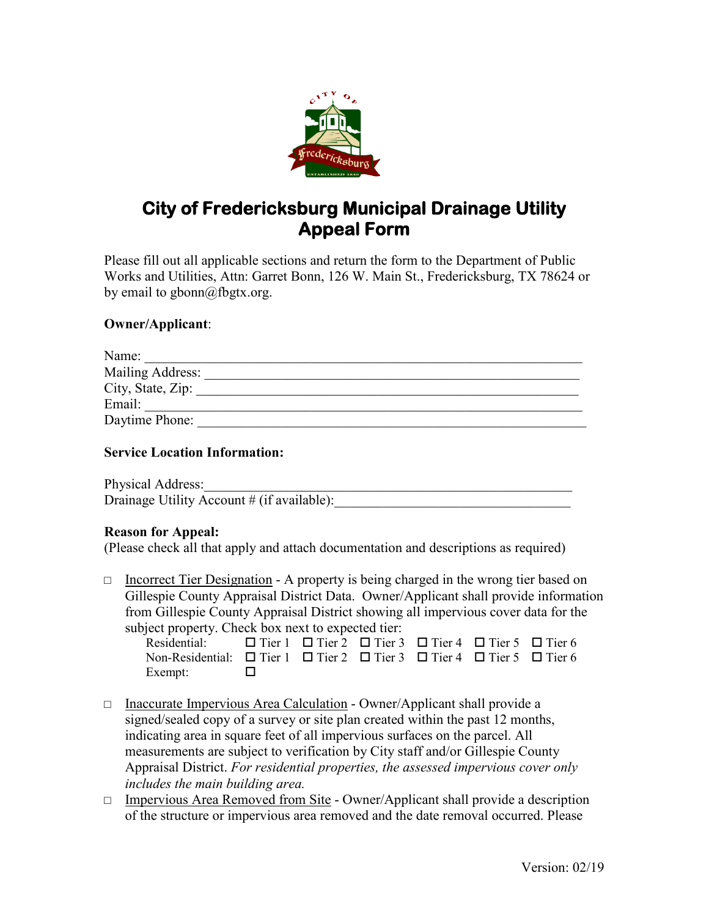

# **City of Fredericksburg Municipal Drainage Utility Appeal Form**

Please fill out all applicable sections and return the form to the Department of Public Works and Utilities, Attn: Garret Bonn, 126 W. Main St., Fredericksburg, TX 78624 or by email to gbonn@fbgtx.org.

## **Owner/Applicant**:

| Name:             |  |
|-------------------|--|
| Mailing Address:  |  |
| City, State, Zip: |  |
| Email:            |  |
| Daytime Phone:    |  |

### **Service Location Information:**

Physical Address: Drainage Utility Account  $\#$  (if available):

#### **Reason for Appeal:**

(Please check all that apply and attach documentation and descriptions as required)

 $\Box$  Incorrect Tier Designation - A property is being charged in the wrong tier based on Gillespie County Appraisal District Data. Owner/Applicant shall provide information from Gillespie County Appraisal District showing all impervious cover data for the subject property. Check box next to expected tier:

| $\mathcal{L}$ iii $\mathcal{L}$<br>Residential: $\Box$ Tier 1 $\Box$ Tier 2 $\Box$ Tier 3 $\Box$ Tier 4 $\Box$ Tier 5 $\Box$ Tier 6 |  |  |  |
|-------------------------------------------------------------------------------------------------------------------------------------|--|--|--|
| Non-Residential: $\Box$ Tier 1 $\Box$ Tier 2 $\Box$ Tier 3 $\Box$ Tier 4 $\Box$ Tier 5 $\Box$ Tier 6                                |  |  |  |
| Exempt: $\Box$                                                                                                                      |  |  |  |

- □ Inaccurate Impervious Area Calculation Owner/Applicant shall provide a signed/sealed copy of a survey or site plan created within the past 12 months, indicating area in square feet of all impervious surfaces on the parcel. All measurements are subject to verification by City staff and/or Gillespie County Appraisal District. *For residential properties, the assessed impervious cover only includes the main building area.*
- □ Impervious Area Removed from Site Owner/Applicant shall provide a description of the structure or impervious area removed and the date removal occurred. Please